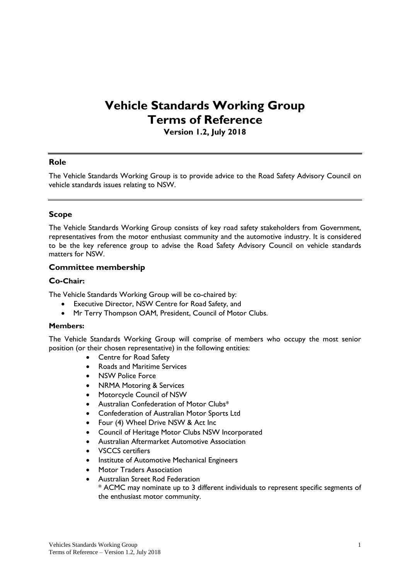# **Vehicle Standards Working Group Terms of Reference**

**Version 1.2, July 2018**

## **Role**

The Vehicle Standards Working Group is to provide advice to the Road Safety Advisory Council on vehicle standards issues relating to NSW.

## **Scope**

The Vehicle Standards Working Group consists of key road safety stakeholders from Government, representatives from the motor enthusiast community and the automotive industry. It is considered to be the key reference group to advise the Road Safety Advisory Council on vehicle standards matters for NSW.

## **Committee membership**

#### **Co-Chair:**

The Vehicle Standards Working Group will be co-chaired by:

- Executive Director, NSW Centre for Road Safety, and
- Mr Terry Thompson OAM, President, Council of Motor Clubs.

#### **Members:**

The Vehicle Standards Working Group will comprise of members who occupy the most senior position (or their chosen representative) in the following entities:

- Centre for Road Safety
- Roads and Maritime Services
- NSW Police Force
- NRMA Motoring & Services
- Motorcycle Council of NSW
- Australian Confederation of Motor Clubs\*
- Confederation of Australian Motor Sports Ltd
- Four (4) Wheel Drive NSW & Act Inc
- Council of Heritage Motor Clubs NSW Incorporated
- Australian Aftermarket Automotive Association
- VSCCS certifiers
- Institute of Automotive Mechanical Engineers
- Motor Traders Association
- Australian Street Rod Federation \* ACMC may nominate up to 3 different individuals to represent specific segments of the enthusiast motor community.